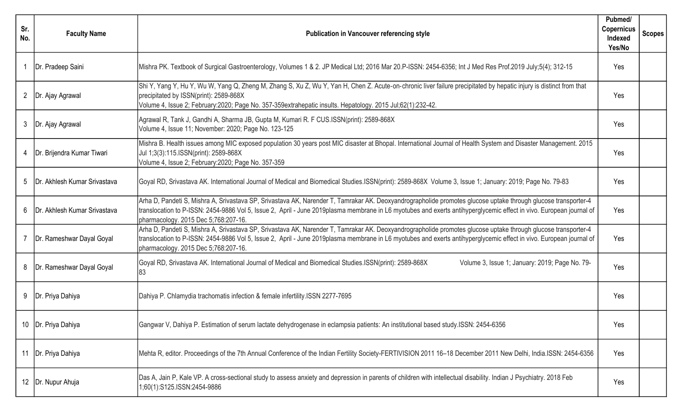| Sr.<br>No.   | <b>Faculty Name</b>            | <b>Publication in Vancouver referencing style</b>                                                                                                                                                                                                                                                                                                                             | Pubmed/<br><b>Copernicus</b><br>Indexed<br>Yes/No | Scopes' |
|--------------|--------------------------------|-------------------------------------------------------------------------------------------------------------------------------------------------------------------------------------------------------------------------------------------------------------------------------------------------------------------------------------------------------------------------------|---------------------------------------------------|---------|
|              | Dr. Pradeep Saini              | Mishra PK. Textbook of Surgical Gastroenterology, Volumes 1 & 2. JP Medical Ltd; 2016 Mar 20.P-ISSN: 2454-6356; Int J Med Res Prof.2019 July;5(4); 312-15                                                                                                                                                                                                                     | Yes                                               |         |
| $\mathbf{2}$ | Dr. Ajay Agrawal               | Shi Y, Yang Y, Hu Y, Wu W, Yang Q, Zheng M, Zhang S, Xu Z, Wu Y, Yan H, Chen Z. Acute-on-chronic liver failure precipitated by hepatic injury is distinct from that<br>precipitated by ISSN(print): 2589-868X<br>Volume 4, Issue 2; February:2020; Page No. 357-359extrahepatic insults. Hepatology. 2015 Jul;62(1):232-42.                                                   | Yes                                               |         |
| $\mathbf{3}$ | Dr. Ajay Agrawal               | Agrawal R, Tank J, Gandhi A, Sharma JB, Gupta M, Kumari R. F CUS.ISSN(print): 2589-868X<br>Volume 4, Issue 11; November: 2020; Page No. 123-125                                                                                                                                                                                                                               | Yes                                               |         |
|              | 4   Dr. Brijendra Kumar Tiwari | Mishra B. Health issues among MIC exposed population 30 years post MIC disaster at Bhopal. International Journal of Health System and Disaster Management. 2015<br>Jul 1;3(3):115.ISSN(print): 2589-868X<br>Volume 4, Issue 2; February: 2020; Page No. 357-359                                                                                                               | Yes                                               |         |
| 5            | Dr. Akhlesh Kumar Srivastava   | Goyal RD, Srivastava AK. International Journal of Medical and Biomedical Studies.ISSN(print): 2589-868X Volume 3, Issue 1; January: 2019; Page No. 79-83                                                                                                                                                                                                                      | Yes                                               |         |
| 6            | Dr. Akhlesh Kumar Srivastava   | Arha D, Pandeti S, Mishra A, Srivastava SP, Srivastava AK, Narender T, Tamrakar AK. Deoxyandrographolide promotes glucose uptake through glucose transporter-4<br>translocation to P-ISSN: 2454-9886 Vol 5, Issue 2, April - June 2019plasma membrane in L6 myotubes and exerts antihyperglycemic effect in vivo. European journal of<br>pharmacology. 2015 Dec 5;768:207-16. | Yes                                               |         |
|              | Dr. Rameshwar Dayal Goyal      | Arha D, Pandeti S, Mishra A, Srivastava SP, Srivastava AK, Narender T, Tamrakar AK. Deoxyandrographolide promotes glucose uptake through glucose transporter-4<br>translocation to P-ISSN: 2454-9886 Vol 5, Issue 2, April - June 2019plasma membrane in L6 myotubes and exerts antihyperglycemic effect in vivo. European journal of<br>pharmacology. 2015 Dec 5;768:207-16. | Yes                                               |         |
| 8            | Dr. Rameshwar Dayal Goyal      | Goyal RD, Srivastava AK. International Journal of Medical and Biomedical Studies.ISSN(print): 2589-868X<br>Volume 3, Issue 1; January: 2019; Page No. 79-<br>83                                                                                                                                                                                                               | Yes                                               |         |
| 9            | Dr. Priya Dahiya               | Dahiya P. Chlamydia trachomatis infection & female infertility. ISSN 2277-7695                                                                                                                                                                                                                                                                                                | Yes                                               |         |
|              | Dr. Priya Dahiya               | Gangwar V, Dahiya P. Estimation of serum lactate dehydrogenase in eclampsia patients: An institutional based study.ISSN: 2454-6356                                                                                                                                                                                                                                            | Yes                                               |         |
|              | 11   Dr. Priya Dahiya          | Mehta R, editor. Proceedings of the 7th Annual Conference of the Indian Fertility Society-FERTIVISION 2011 16-18 December 2011 New Delhi, India.ISSN: 2454-6356                                                                                                                                                                                                               | Yes                                               |         |
|              | 12   Dr. Nupur Ahuja           | Das A, Jain P, Kale VP. A cross-sectional study to assess anxiety and depression in parents of children with intellectual disability. Indian J Psychiatry. 2018 Feb<br>1;60(1):S125.ISSN:2454-9886                                                                                                                                                                            | Yes                                               |         |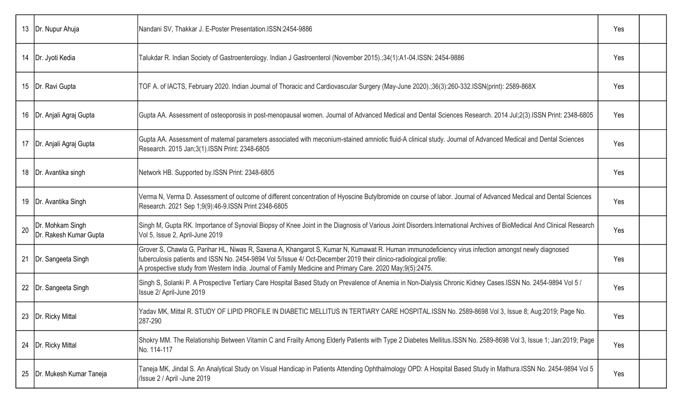|    | 13   Dr. Nupur Ahuja                       | Nandani SV, Thakkar J. E-Poster Presentation.ISSN:2454-9886                                                                                                                                                                                                                                                                                                                         | Yes |  |
|----|--------------------------------------------|-------------------------------------------------------------------------------------------------------------------------------------------------------------------------------------------------------------------------------------------------------------------------------------------------------------------------------------------------------------------------------------|-----|--|
| 14 | Dr. Jyoti Kedia                            | Talukdar R. Indian Society of Gastroenterology. Indian J Gastroenterol (November 2015).;34(1):A1-04.ISSN: 2454-9886                                                                                                                                                                                                                                                                 | Yes |  |
|    | 15   Dr. Ravi Gupta                        | TOF A. of IACTS, February 2020. Indian Journal of Thoracic and Cardiovascular Surgery (May-June 2020).;36(3):260-332.ISSN(print): 2589-868X                                                                                                                                                                                                                                         | Yes |  |
|    | 16   Dr. Anjali Agraj Gupta                | Gupta AA. Assessment of osteoporosis in post-menopausal women. Journal of Advanced Medical and Dental Sciences Research. 2014 Jul;2(3).ISSN Print: 2348-6805                                                                                                                                                                                                                        | Yes |  |
|    | 17   Dr. Anjali Agraj Gupta                | Gupta AA. Assessment of maternal parameters associated with meconium-stained amniotic fluid-A clinical study. Journal of Advanced Medical and Dental Sciences<br>Research. 2015 Jan;3(1).ISSN Print: 2348-6805                                                                                                                                                                      | Yes |  |
| 18 | Dr. Avantika singh                         | Network HB. Supported by ISSN Print: 2348-6805                                                                                                                                                                                                                                                                                                                                      | Yes |  |
| 19 | Dr. Avantika Singh                         | Verma N, Verma D. Assessment of outcome of different concentration of Hyoscine Butylbromide on course of labor. Journal of Advanced Medical and Dental Sciences<br>Research. 2021 Sep 1;9(9):46-9.ISSN Print 2348-6805                                                                                                                                                              | Yes |  |
| 20 | Dr. Mohkam Singh<br>Dr. Rakesh Kumar Gupta | Singh M, Gupta RK. Importance of Synovial Biopsy of Knee Joint in the Diagnosis of Various Joint Disorders.International Archives of BioMedical And Clinical Research<br>Vol 5, Issue 2, April-June 2019                                                                                                                                                                            | Yes |  |
| 21 | Dr. Sangeeta Singh                         | Grover S, Chawla G, Parihar HL, Niwas R, Saxena A, Khangarot S, Kumar N, Kumawat R. Human immunodeficiency virus infection amongst newly diagnosed<br>tuberculosis patients and ISSN No. 2454-9894 Vol 5/Issue 4/ Oct-December 2019 their clinico-radiological profile:<br>A prospective study from Western India. Journal of Family Medicine and Primary Care. 2020 May;9(5):2475. | Yes |  |
| 22 | Dr. Sangeeta Singh                         | Singh S, Solanki P. A Prospective Tertiary Care Hospital Based Study on Prevalence of Anemia in Non-Dialysis Chronic Kidney Cases.ISSN No. 2454-9894 Vol 5 /<br>Issue 2/ April-June 2019                                                                                                                                                                                            | Yes |  |
|    | 23   Dr. Ricky Mittal                      | Yadav MK, Mittal R. STUDY OF LIPID PROFILE IN DIABETIC MELLITUS IN TERTIARY CARE HOSPITAL.ISSN No. 2589-8698 Vol 3, Issue 8; Aug:2019; Page No.<br>287-290                                                                                                                                                                                                                          | Yes |  |
| 24 | Dr. Ricky Mittal                           | Shokry MM. The Relationship Between Vitamin C and Frailty Among Elderly Patients with Type 2 Diabetes Mellitus.ISSN No. 2589-8698 Vol 3, Issue 1; Jan:2019; Page<br>No. 114-117                                                                                                                                                                                                     | Yes |  |
| 25 | Dr. Mukesh Kumar Taneja                    | Taneja MK, Jindal S. An Analytical Study on Visual Handicap in Patients Attending Ophthalmology OPD: A Hospital Based Study in Mathura.ISSN No. 2454-9894 Vol 5<br>/Issue 2 / April -June 2019                                                                                                                                                                                      | Yes |  |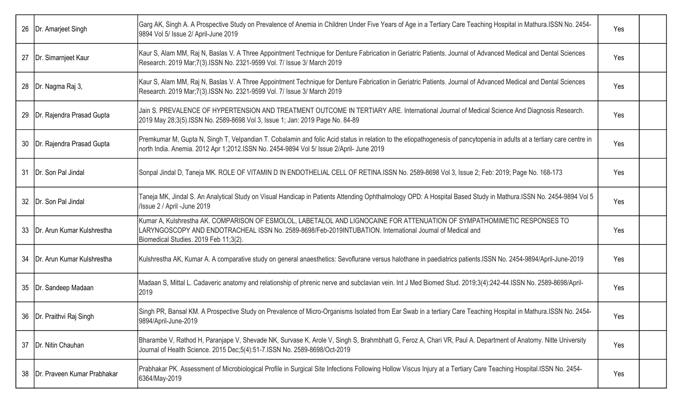|    | 26   Dr. Amarjeet Singh         | Garg AK, Singh A. A Prospective Study on Prevalence of Anemia in Children Under Five Years of Age in a Tertiary Care Teaching Hospital in Mathura.ISSN No. 2454-<br>9894 Vol 5/ Issue 2/ April-June 2019                                                                       | Yes |  |
|----|---------------------------------|--------------------------------------------------------------------------------------------------------------------------------------------------------------------------------------------------------------------------------------------------------------------------------|-----|--|
|    | 27   Dr. Simarnjeet Kaur        | Kaur S, Alam MM, Raj N, Baslas V. A Three Appointment Technique for Denture Fabrication in Geriatric Patients. Journal of Advanced Medical and Dental Sciences<br>Research. 2019 Mar; 7(3). ISSN No. 2321-9599 Vol. 7/ Issue 3/ March 2019                                     | Yes |  |
|    | 28   Dr. Nagma Raj 3,           | Kaur S, Alam MM, Raj N, Baslas V. A Three Appointment Technique for Denture Fabrication in Geriatric Patients. Journal of Advanced Medical and Dental Sciences<br>Research. 2019 Mar;7(3).ISSN No. 2321-9599 Vol. 7/ Issue 3/ March 2019                                       | Yes |  |
|    | 29   Dr. Rajendra Prasad Gupta  | Jain S. PREVALENCE OF HYPERTENSION AND TREATMENT OUTCOME IN TERTIARY ARE. International Journal of Medical Science And Diagnosis Research.<br>2019 May 28;3(5).ISSN No. 2589-8698 Vol 3, Issue 1; Jan: 2019 Page No. 84-89                                                     | Yes |  |
|    | 30   Dr. Rajendra Prasad Gupta  | Premkumar M, Gupta N, Singh T, Velpandian T. Cobalamin and folic Acid status in relation to the etiopathogenesis of pancytopenia in adults at a tertiary care centre in<br>north India. Anemia. 2012 Apr 1;2012.ISSN No. 2454-9894 Vol 5/ Issue 2/April- June 2019             | Yes |  |
|    | 31   Dr. Son Pal Jindal         | Sonpal Jindal D, Taneja MK. ROLE OF VITAMIN D IN ENDOTHELIAL CELL OF RETINA.ISSN No. 2589-8698 Vol 3, Issue 2; Feb: 2019; Page No. 168-173                                                                                                                                     | Yes |  |
|    | 32   Dr. Son Pal Jindal         | Taneja MK, Jindal S. An Analytical Study on Visual Handicap in Patients Attending Ophthalmology OPD: A Hospital Based Study in Mathura.ISSN No. 2454-9894 Vol 5<br>/Issue 2 / April -June 2019                                                                                 | Yes |  |
|    | 33   Dr. Arun Kumar Kulshrestha | Kumar A, Kulshrestha AK. COMPARISON OF ESMOLOL, LABETALOL AND LIGNOCAINE FOR ATTENUATION OF SYMPATHOMIMETIC RESPONSES TO<br>LARYNGOSCOPY AND ENDOTRACHEAL ISSN No. 2589-8698/Feb-2019INTUBATION. International Journal of Medical and<br>Biomedical Studies. 2019 Feb 11;3(2). | Yes |  |
|    | 34   Dr. Arun Kumar Kulshrestha | Kulshrestha AK, Kumar A. A comparative study on general anaesthetics: Sevoflurane versus halothane in paediatrics patients.ISSN No. 2454-9894/April-June-2019                                                                                                                  | Yes |  |
|    | 35  Dr. Sandeep Madaan          | Madaan S, Mittal L. Cadaveric anatomy and relationship of phrenic nerve and subclavian vein. Int J Med Biomed Stud. 2019;3(4):242-44. ISSN No. 2589-8698/April-<br>2019                                                                                                        | Yes |  |
|    | 36   Dr. Praithvi Raj Singh     | Singh PR, Bansal KM. A Prospective Study on Prevalence of Micro-Organisms Isolated from Ear Swab in a tertiary Care Teaching Hospital in Mathura.ISSN No. 2454-<br>9894/April-June-2019                                                                                        | Yes |  |
|    | 37   Dr. Nitin Chauhan          | Bharambe V, Rathod H, Paranjape V, Shevade NK, Survase K, Arole V, Singh S, Brahmbhatt G, Feroz A, Chari VR, Paul A. Department of Anatomy. Nitte University<br>Journal of Health Science. 2015 Dec;5(4):51-7.ISSN No. 2589-8698/Oct-2019                                      | Yes |  |
| 38 | Dr. Praveen Kumar Prabhakar     | Prabhakar PK. Assessment of Microbiological Profile in Surgical Site Infections Following Hollow Viscus Injury at a Tertiary Care Teaching Hospital.ISSN No. 2454-<br>6364/May-2019                                                                                            | Yes |  |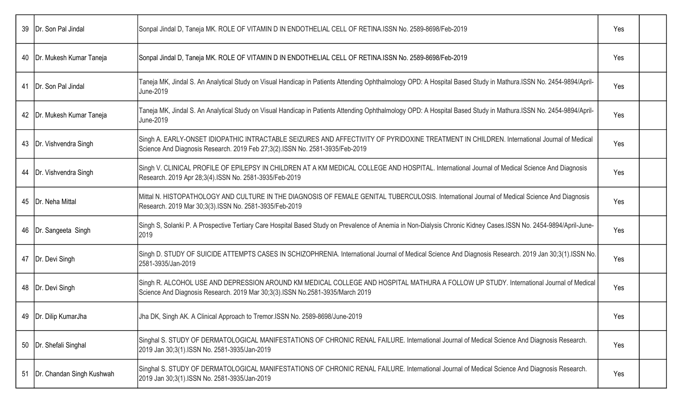| 39 | Dr. Son Pal Jindal           | Sonpal Jindal D, Taneja MK. ROLE OF VITAMIN D IN ENDOTHELIAL CELL OF RETINA.ISSN No. 2589-8698/Feb-2019                                                                                                                    | Yes |  |
|----|------------------------------|----------------------------------------------------------------------------------------------------------------------------------------------------------------------------------------------------------------------------|-----|--|
| 40 | Dr. Mukesh Kumar Taneja      | Sonpal Jindal D, Taneja MK. ROLE OF VITAMIN D IN ENDOTHELIAL CELL OF RETINA.ISSN No. 2589-8698/Feb-2019                                                                                                                    | Yes |  |
|    | 41   Dr. Son Pal Jindal      | Taneja MK, Jindal S. An Analytical Study on Visual Handicap in Patients Attending Ophthalmology OPD: A Hospital Based Study in Mathura.ISSN No. 2454-9894/April-<br>June-2019                                              | Yes |  |
|    | 42   Dr. Mukesh Kumar Taneja | Taneja MK, Jindal S. An Analytical Study on Visual Handicap in Patients Attending Ophthalmology OPD: A Hospital Based Study in Mathura.ISSN No. 2454-9894/April-<br>June-2019                                              | Yes |  |
|    | 43   Dr. Vishvendra Singh    | Singh A. EARLY-ONSET IDIOPATHIC INTRACTABLE SEIZURES AND AFFECTIVITY OF PYRIDOXINE TREATMENT IN CHILDREN. International Journal of Medical<br>Science And Diagnosis Research. 2019 Feb 27;3(2).ISSN No. 2581-3935/Feb-2019 | Yes |  |
| 44 | Dr. Vishvendra Singh         | Singh V. CLINICAL PROFILE OF EPILEPSY IN CHILDREN AT A KM MEDICAL COLLEGE AND HOSPITAL. International Journal of Medical Science And Diagnosis<br>Research. 2019 Apr 28;3(4).ISSN No. 2581-3935/Feb-2019                   | Yes |  |
|    | 45   Dr. Neha Mittal         | Mittal N. HISTOPATHOLOGY AND CULTURE IN THE DIAGNOSIS OF FEMALE GENITAL TUBERCULOSIS. International Journal of Medical Science And Diagnosis<br>Research. 2019 Mar 30;3(3). ISSN No. 2581-3935/Feb-2019                    | Yes |  |
|    | 46   Dr. Sangeeta Singh      | Singh S, Solanki P. A Prospective Tertiary Care Hospital Based Study on Prevalence of Anemia in Non-Dialysis Chronic Kidney Cases.ISSN No. 2454-9894/April-June-<br>2019                                                   | Yes |  |
|    | 47   Dr. Devi Singh          | Singh D. STUDY OF SUICIDE ATTEMPTS CASES IN SCHIZOPHRENIA. International Journal of Medical Science And Diagnosis Research. 2019 Jan 30;3(1).ISSN No.<br>2581-3935/Jan-2019                                                | Yes |  |
|    | 48   Dr. Devi Singh          | Singh R. ALCOHOL USE AND DEPRESSION AROUND KM MEDICAL COLLEGE AND HOSPITAL MATHURA A FOLLOW UP STUDY. International Journal of Medical<br>Science And Diagnosis Research. 2019 Mar 30;3(3).ISSN No.2581-3935/March 2019    | Yes |  |
|    | 49   Dr. Dilip KumarJha      | Jha DK, Singh AK. A Clinical Approach to Tremor.ISSN No. 2589-8698/June-2019                                                                                                                                               | Yes |  |
| 50 | Dr. Shefali Singhal          | Singhal S. STUDY OF DERMATOLOGICAL MANIFESTATIONS OF CHRONIC RENAL FAILURE. International Journal of Medical Science And Diagnosis Research.<br>2019 Jan 30;3(1).ISSN No. 2581-3935/Jan-2019                               | Yes |  |
| 51 | Dr. Chandan Singh Kushwah    | Singhal S. STUDY OF DERMATOLOGICAL MANIFESTATIONS OF CHRONIC RENAL FAILURE. International Journal of Medical Science And Diagnosis Research.<br>2019 Jan 30;3(1).ISSN No. 2581-3935/Jan-2019                               | Yes |  |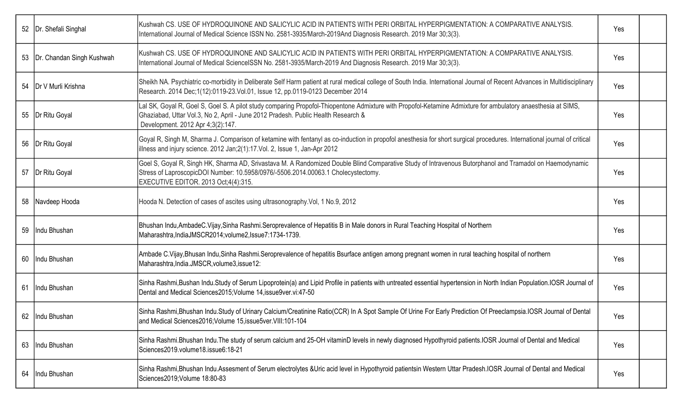| 52   Dr. Shefali Singhal       | Kushwah CS. USE OF HYDROQUINONE AND SALICYLIC ACID IN PATIENTS WITH PERI ORBITAL HYPERPIGMENTATION: A COMPARATIVE ANALYSIS.<br>International Journal of Medical Science ISSN No. 2581-3935/March-2019And Diagnosis Research. 2019 Mar 30;3(3).                                         | Yes |  |
|--------------------------------|----------------------------------------------------------------------------------------------------------------------------------------------------------------------------------------------------------------------------------------------------------------------------------------|-----|--|
| 53   Dr. Chandan Singh Kushwah | Kushwah CS. USE OF HYDROQUINONE AND SALICYLIC ACID IN PATIENTS WITH PERI ORBITAL HYPERPIGMENTATION: A COMPARATIVE ANALYSIS.<br>International Journal of Medical ScienceISSN No. 2581-3935/March-2019 And Diagnosis Research. 2019 Mar 30;3(3).                                         | Yes |  |
| 54   Dr V Murli Krishna        | Sheikh NA. Psychiatric co-morbidity in Deliberate Self Harm patient at rural medical college of South India. International Journal of Recent Advances in Multidisciplinary<br>Research. 2014 Dec;1(12):0119-23. Vol.01, Issue 12, pp.0119-0123 December 2014                           | Yes |  |
| 55   Dr Ritu Goyal             | Lal SK, Goyal R, Goel S, Goel S. A pilot study comparing Propofol-Thiopentone Admixture with Propofol-Ketamine Admixture for ambulatory anaesthesia at SIMS,<br>Ghaziabad, Uttar Vol.3, No 2, April - June 2012 Pradesh. Public Health Research &<br>Development. 2012 Apr 4;3(2):147. | Yes |  |
| 56   Dr Ritu Goyal             | Goyal R, Singh M, Sharma J. Comparison of ketamine with fentanyl as co-induction in propofol anesthesia for short surgical procedures. International journal of critical<br>illness and injury science. 2012 Jan; 2(1): 17. Vol. 2, Issue 1, Jan-Apr 2012                              | Yes |  |
| 57   Dr Ritu Goyal             | Goel S, Goyal R, Singh HK, Sharma AD, Srivastava M. A Randomized Double Blind Comparative Study of Intravenous Butorphanol and Tramadol on Haemodynamic<br>Stress of LaproscopicDOI Number: 10.5958/0976/-5506.2014.00063.1 Cholecystectomy.<br>EXECUTIVE EDITOR. 2013 Oct;4(4):315.   | Yes |  |
| 58 Navdeep Hooda               | Hooda N. Detection of cases of ascites using ultrasonography. Vol, 1 No.9, 2012                                                                                                                                                                                                        | Yes |  |
| 59 Indu Bhushan                | Bhushan Indu,AmbadeC.Vijay,Sinha Rashmi.Seroprevalence of Hepatitis B in Male donors in Rural Teaching Hospital of Northern<br>Maharashtra, IndiaJMSCR2014; volume2, Issue7:1734-1739.                                                                                                 | Yes |  |
| 60 Indu Bhushan                | Ambade C.Vijay,Bhusan Indu,Sinha Rashmi.Seroprevalence of hepatitis Bsurface antigen among pregnant women in rural teaching hospital of northern<br>Maharashtra, India.JMSCR, volume3, issue12:                                                                                        | Yes |  |
| 61 Indu Bhushan                | Sinha Rashmi,Bushan Indu.Study of Serum Lipoprotein(a) and Lipid Profile in patients with untreated essential hypertension in North Indian Population.IOSR Journal of<br>Dental and Medical Sciences2015; Volume 14, issue9ver.vi: 47-50                                               | Yes |  |
| 62   Indu Bhushan              | Sinha Rashmi,Bhushan Indu.Study of Urinary Calcium/Creatinine Ratio(CCR) In A Spot Sample Of Urine For Early Prediction Of Preeclampsia.IOSR Journal of Dental<br>and Medical Sciences2016; Volume 15, issue5ver. VIII: 101-104                                                        | Yes |  |
| 63   Indu Bhushan              | Sinha Rashmi.Bhushan Indu.The study of serum calcium and 25-OH vitaminD levels in newly diagnosed Hypothyroid patients.IOSR Journal of Dental and Medical<br>Sciences2019.volume18.issue6:18-21                                                                                        | Yes |  |
| 64   Indu Bhushan              | Sinha Rashmi, Bhushan Indu. Assesment of Serum electrolytes &Uric acid level in Hypothyroid patientsin Western Uttar Pradesh. IOSR Journal of Dental and Medical<br>Sciences2019;Volume 18:80-83                                                                                       | Yes |  |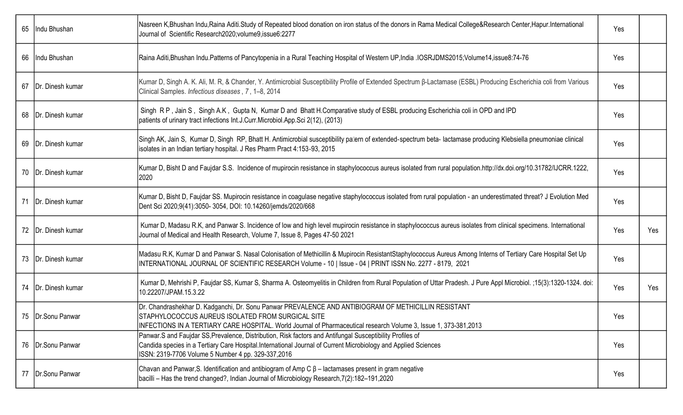| 65   Indu Bhushan     | Nasreen K,Bhushan Indu,Raina Aditi.Study of Repeated blood donation on iron status of the donors in Rama Medical College&Research Center,Hapur.International<br>Journal of Scientific Research2020;volume9,issue6:2277                                                            | Yes |     |
|-----------------------|-----------------------------------------------------------------------------------------------------------------------------------------------------------------------------------------------------------------------------------------------------------------------------------|-----|-----|
| 66   Indu Bhushan     | Raina Aditi, Bhushan Indu. Patterns of Pancytopenia in a Rural Teaching Hospital of Western UP, India . IOSRJDMS2015; Volume14, issue8:74-76                                                                                                                                      | Yes |     |
| 67   Dr. Dinesh kumar | Kumar D, Singh A. K. Ali, M. R, & Chander, Y. Antimicrobial Susceptibility Profile of Extended Spectrum B-Lactamase (ESBL) Producing Escherichia coli from Various<br>Clinical Samples. Infectious diseases, 7, 1-8, 2014                                                         | Yes |     |
| 68   Dr. Dinesh kumar | Singh RP, Jain S, Singh A.K, Gupta N, Kumar D and Bhatt H.Comparative study of ESBL producing Escherichia coli in OPD and IPD<br>patients of urinary tract infections Int.J.Curr.Microbiol.App.Sci 2(12), (2013)                                                                  | Yes |     |
| 69   Dr. Dinesh kumar | Singh AK, Jain S, Kumar D, Singh RP, Bhatt H. Antimicrobial susceptibility pallern of extended-spectrum beta- lactamase producing Klebsiella pneumoniae clinical<br>Isolates in an Indian tertiary hospital. J Res Pharm Pract 4:153-93, 2015                                     | Yes |     |
| 70   Dr. Dinesh kumar | Kumar D, Bisht D and Faujdar S.S. Incidence of mupirocin resistance in staphylococcus aureus isolated from rural population.http://dx.doi.org/10.31782/IJCRR.1222,<br>2020                                                                                                        | Yes |     |
| 71   Dr. Dinesh kumar | Kumar D, Bisht D, Faujdar SS. Mupirocin resistance in coagulase negative staphylococcus isolated from rural population - an underestimated threat? J Evolution Med<br>Dent Sci 2020;9(41):3050- 3054, DOI: 10.14260/jemds/2020/668                                                | Yes |     |
| 72   Dr. Dinesh kumar | Kumar D, Madasu R.K, and Panwar S. Incidence of low and high level mupirocin resistance in staphylococcus aureus isolates from clinical specimens. International<br>Journal of Medical and Health Research, Volume 7, Issue 8, Pages 47-50 2021                                   | Yes | Yes |
| 73   Dr. Dinesh kumar | Madasu R.K, Kumar D and Panwar S. Nasal Colonisation of Methicillin & Mupirocin ResistantStaphylococcus Aureus Among Interns of Tertiary Care Hospital Set Up<br>INTERNATIONAL JOURNAL OF SCIENTIFIC RESEARCH Volume - 10   Issue - 04   PRINT ISSN No. 2277 - 8179, 2021         | Yes |     |
| 74   Dr. Dinesh kumar | Kumar D, Mehrishi P, Faujdar SS, Kumar S, Sharma A. Osteomyelitis in Children from Rural Population of Uttar Pradesh. J Pure Appl Microbiol. ;15(3):1320-1324. doi:<br>10.22207/JPAM.15.3.22                                                                                      | Yes | Yes |
| 75   Dr. Sonu Panwar  | Dr. Chandrashekhar D. Kadganchi, Dr. Sonu Panwar PREVALENCE AND ANTIBIOGRAM OF METHICILLIN RESISTANT<br>STAPHYLOCOCCUS AUREUS ISOLATED FROM SURGICAL SITE<br>INFECTIONS IN A TERTIARY CARE HOSPITAL. World Journal of Pharmaceutical research Volume 3, Issue 1, 373-381,2013     | Yes |     |
| 76   Dr. Sonu Panwar  | Panwar.S and Faujdar SS, Prevalence, Distribution, Risk factors and Antifungal Susceptibility Profiles of<br>Candida species in a Tertiary Care Hospital.International Journal of Current Microbiology and Applied Sciences<br>ISSN: 2319-7706 Volume 5 Number 4 pp. 329-337,2016 | Yes |     |
| 77   Dr. Sonu Panwar  | Chavan and Panwar, S. Identification and antibiogram of Amp $C \beta$ – lactamases present in gram negative<br>bacilli – Has the trend changed?, Indian Journal of Microbiology Research, 7(2): 182-191, 2020                                                                     | Yes |     |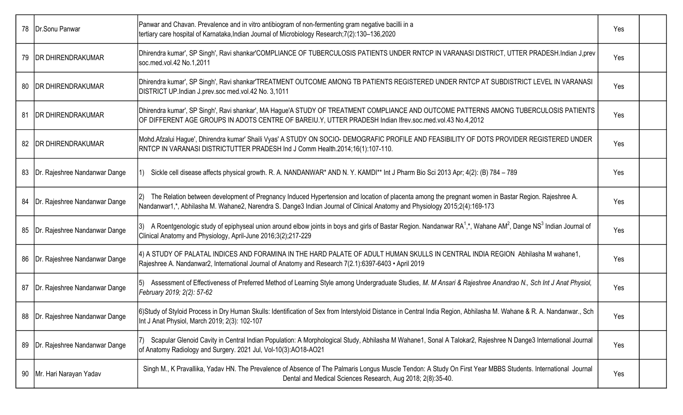|    | 78   Dr. Sonu Panwar          | Panwar and Chavan. Prevalence and in vitro antibiogram of non-fermenting gram negative bacilli in a<br>tertiary care hospital of Karnataka, Indian Journal of Microbiology Research; 7(2): 130-136, 2020                                                                                  | Yes |  |
|----|-------------------------------|-------------------------------------------------------------------------------------------------------------------------------------------------------------------------------------------------------------------------------------------------------------------------------------------|-----|--|
| 79 | <b>IDR DHIRENDRAKUMAR</b>     | Dhirendra kumar', SP Singh', Ravi shankar'COMPLIANCE OF TUBERCULOSIS PATIENTS UNDER RNTCP IN VARANASI DISTRICT, UTTER PRADESH.Indian J,prev<br>soc.med.vol.42 No.1,2011                                                                                                                   | Yes |  |
| 80 | <b>IDR DHIRENDRAKUMAR</b>     | Dhirendra kumar', SP Singh', Ravi shankar'TREATMENT OUTCOME AMONG TB PATIENTS REGISTERED UNDER RNTCP AT SUBDISTRICT LEVEL IN VARANASI<br>DISTRICT UP.Indian J.prev.soc med.vol.42 No. 3,1011                                                                                              | Yes |  |
| 81 | <b>IDR DHIRENDRAKUMAR</b>     | Dhirendra kumar', SP Singh', Ravi shankar', MA Hague'A STUDY OF TREATMENT COMPLIANCE AND OUTCOME PATTERNS AMONG TUBERCULOSIS PATIENTS<br>OF DIFFERENT AGE GROUPS IN ADOTS CENTRE OF BAREIU.Y, UTTER PRADESH Indian Ifrev.soc.med.vol.43 No.4,2012                                         | Yes |  |
|    | 82   DR DHIRENDRAKUMAR        | Mohd.Afzalui Hague', Dhirendra kumar' Shaili Vyas' A STUDY ON SOCIO- DEMOGRAFIC PROFILE AND FEASIBILITY OF DOTS PROVIDER REGISTERED UNDER<br>RNTCP IN VARANASI DISTRICTUTTER PRADESH Ind J Comm Health.2014;16(1):107-110.                                                                | Yes |  |
| 83 | Dr. Rajeshree Nandanwar Dange | Sickle cell disease affects physical growth. R. A. NANDANWAR* AND N. Y. KAMDI** Int J Pharm Bio Sci 2013 Apr; 4(2): (B) 784 - 789                                                                                                                                                         | Yes |  |
| 84 | Dr. Rajeshree Nandanwar Dange | The Relation between development of Pregnancy Induced Hypertension and location of placenta among the pregnant women in Bastar Region. Rajeshree A.<br>12).<br>Nandanwar1,*, Abhilasha M. Wahane2, Narendra S. Dange3 Indian Journal of Clinical Anatomy and Physiology 2015;2(4):169-173 | Yes |  |
| 85 | Dr. Rajeshree Nandanwar Dange | A Roentgenologic study of epiphyseal union around elbow joints in boys and girls of Bastar Region. Nandanwar RA <sup>1</sup> ,*, Wahane AM <sup>2</sup> , Dange NS <sup>3</sup> Indian Journal of<br>Clinical Anatomy and Physiology, April-June 2016;3(2);217-229                        | Yes |  |
| 86 | Dr. Rajeshree Nandanwar Dange | 4) A STUDY OF PALATAL INDICES AND FORAMINA IN THE HARD PALATE OF ADULT HUMAN SKULLS IN CENTRAL INDIA REGION Abhilasha M wahane1,<br>Rajeshree A. Nandanwar2, International Journal of Anatomy and Research 7(2.1):6397-6403 • April 2019                                                  | Yes |  |
| 87 | Dr. Rajeshree Nandanwar Dange | Assessment of Effectiveness of Preferred Method of Learning Style among Undergraduate Studies, M. M Ansari & Rajeshree Anandrao N., Sch Int J Anat Physiol,<br>February 2019; 2(2): 57-62                                                                                                 | Yes |  |
| 88 | Dr. Rajeshree Nandanwar Dange | 6)Study of Styloid Process in Dry Human Skulls: Identification of Sex from Interstyloid Distance in Central India Region, Abhilasha M. Wahane & R. A. Nandanwar., Sch<br>Int J Anat Physiol, March 2019; 2(3): 102-107                                                                    | Yes |  |
| 89 | Dr. Rajeshree Nandanwar Dange | Scapular Glenoid Cavity in Central Indian Population: A Morphological Study, Abhilasha M Wahane1, Sonal A Talokar2, Rajeshree N Dange3 International Journal<br>of Anatomy Radiology and Surgery. 2021 Jul, Vol-10(3):AO18-AO21                                                           | Yes |  |
| 90 | Mr. Hari Narayan Yadav        | Singh M., K Pravallika, Yadav HN. The Prevalence of Absence of The Palmaris Longus Muscle Tendon: A Study On First Year MBBS Students. International Journal<br>Dental and Medical Sciences Research, Aug 2018; 2(8):35-40.                                                               | Yes |  |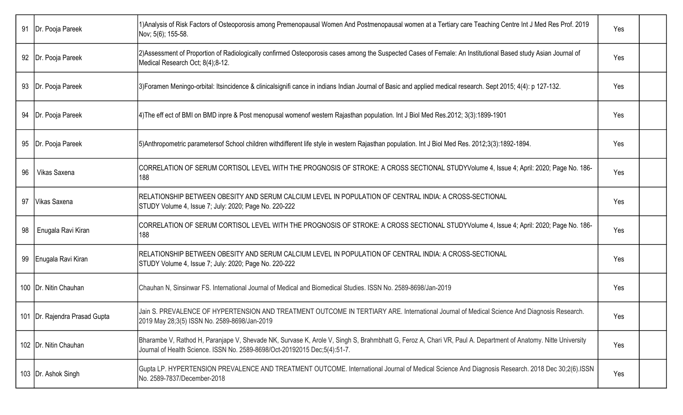| 91 | Dr. Pooja Pareek                | 1) Analysis of Risk Factors of Osteoporosis among Premenopausal Women And Postmenopausal women at a Tertiary care Teaching Centre Int J Med Res Prof. 2019<br>Nov; 5(6); 155-58.                                                          | Yes |  |
|----|---------------------------------|-------------------------------------------------------------------------------------------------------------------------------------------------------------------------------------------------------------------------------------------|-----|--|
| 92 | Dr. Pooja Pareek                | 2) Assessment of Proportion of Radiologically confirmed Osteoporosis cases among the Suspected Cases of Female: An Institutional Based study Asian Journal of<br>Medical Research Oct; 8(4);8-12.                                         | Yes |  |
|    | 93   Dr. Pooja Pareek           | 3) Foramen Meningo-orbital: Itsincidence & clinicalsignifi cance in indians Indian Journal of Basic and applied medical research. Sept 2015; 4(4): p 127-132.                                                                             | Yes |  |
| 94 | Dr. Pooja Pareek                | [4) The eff ect of BMI on BMD inpre & Post menopusal womenof western Rajasthan population. Int J Biol Med Res. 2012; 3(3): 1899-1901                                                                                                      | Yes |  |
| 95 | Dr. Pooja Pareek                | [5)Anthropometric parametersof School children withdifferent life style in western Rajasthan population. Int J Biol Med Res. 2012;3(3):1892-1894.                                                                                         | Yes |  |
| 96 | Vikas Saxena                    | CORRELATION OF SERUM CORTISOL LEVEL WITH THE PROGNOSIS OF STROKE: A CROSS SECTIONAL STUDYVolume 4, Issue 4; April: 2020; Page No. 186-<br>188                                                                                             | Yes |  |
| 97 | Vikas Saxena                    | RELATIONSHIP BETWEEN OBESITY AND SERUM CALCIUM LEVEL IN POPULATION OF CENTRAL INDIA: A CROSS-SECTIONAL<br>STUDY Volume 4, Issue 7; July: 2020; Page No. 220-222                                                                           | Yes |  |
| 98 | Enugala Ravi Kiran              | CORRELATION OF SERUM CORTISOL LEVEL WITH THE PROGNOSIS OF STROKE: A CROSS SECTIONAL STUDYVolume 4, Issue 4; April: 2020; Page No. 186-<br>188                                                                                             | Yes |  |
| 99 | Enugala Ravi Kiran              | RELATIONSHIP BETWEEN OBESITY AND SERUM CALCIUM LEVEL IN POPULATION OF CENTRAL INDIA: A CROSS-SECTIONAL<br>STUDY Volume 4, Issue 7; July: 2020; Page No. 220-222                                                                           | Yes |  |
|    | 100   Dr. Nitin Chauhan         | Chauhan N, Sinsinwar FS. International Journal of Medical and Biomedical Studies. ISSN No. 2589-8698/Jan-2019                                                                                                                             | Yes |  |
|    | 101   Dr. Rajendra Prasad Gupta | Jain S. PREVALENCE OF HYPERTENSION AND TREATMENT OUTCOME IN TERTIARY ARE. International Journal of Medical Science And Diagnosis Research.<br>2019 May 28;3(5) ISSN No. 2589-8698/Jan-2019                                                | Yes |  |
|    | 102   Dr. Nitin Chauhan         | Bharambe V, Rathod H, Paranjape V, Shevade NK, Survase K, Arole V, Singh S, Brahmbhatt G, Feroz A, Chari VR, Paul A. Department of Anatomy. Nitte University<br>Journal of Health Science. ISSN No. 2589-8698/Oct-20192015 Dec;5(4):51-7. | Yes |  |
|    | 103   Dr. Ashok Singh           | Gupta LP. HYPERTENSION PREVALENCE AND TREATMENT OUTCOME. International Journal of Medical Science And Diagnosis Research. 2018 Dec 30;2(6).ISSN<br>No. 2589-7837/December-2018                                                            | Yes |  |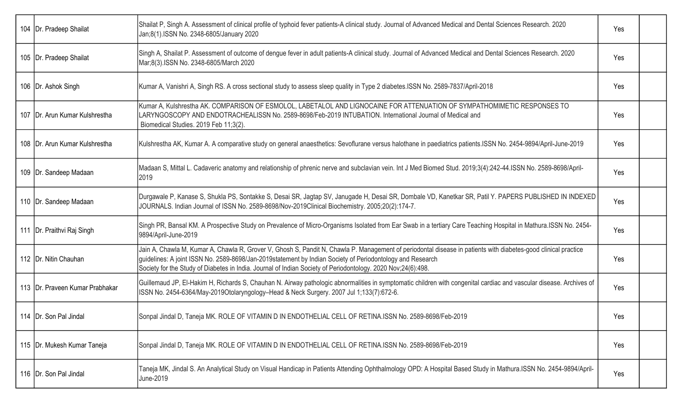| 104   Dr. Pradeep Shailat         | Shailat P, Singh A. Assessment of clinical profile of typhoid fever patients-A clinical study. Journal of Advanced Medical and Dental Sciences Research. 2020<br>Jan;8(1).ISSN No. 2348-6805/January 2020                                                                                                                                                                                   | Yes |  |
|-----------------------------------|---------------------------------------------------------------------------------------------------------------------------------------------------------------------------------------------------------------------------------------------------------------------------------------------------------------------------------------------------------------------------------------------|-----|--|
| 105   Dr. Pradeep Shailat         | Singh A, Shailat P. Assessment of outcome of dengue fever in adult patients-A clinical study. Journal of Advanced Medical and Dental Sciences Research. 2020<br>Mar;8(3).ISSN No. 2348-6805/March 2020                                                                                                                                                                                      | Yes |  |
| 106   Dr. Ashok Singh             | Kumar A, Vanishri A, Singh RS. A cross sectional study to assess sleep quality in Type 2 diabetes. ISSN No. 2589-7837/April-2018                                                                                                                                                                                                                                                            | Yes |  |
| 107   Dr. Arun Kumar Kulshrestha  | Kumar A, Kulshrestha AK. COMPARISON OF ESMOLOL, LABETALOL AND LIGNOCAINE FOR ATTENUATION OF SYMPATHOMIMETIC RESPONSES TO<br>LARYNGOSCOPY AND ENDOTRACHEALISSN No. 2589-8698/Feb-2019 INTUBATION. International Journal of Medical and<br>Biomedical Studies. 2019 Feb 11;3(2).                                                                                                              | Yes |  |
| 108   Dr. Arun Kumar Kulshrestha  | Kulshrestha AK, Kumar A. A comparative study on general anaesthetics: Sevoflurane versus halothane in paediatrics patients.ISSN No. 2454-9894/April-June-2019                                                                                                                                                                                                                               | Yes |  |
| 109   Dr. Sandeep Madaan          | Madaan S, Mittal L. Cadaveric anatomy and relationship of phrenic nerve and subclavian vein. Int J Med Biomed Stud. 2019;3(4):242-44. ISSN No. 2589-8698/April-<br>2019                                                                                                                                                                                                                     | Yes |  |
| 110   Dr. Sandeep Madaan          | Durgawale P, Kanase S, Shukla PS, Sontakke S, Desai SR, Jagtap SV, Janugade H, Desai SR, Dombale VD, Kanetkar SR, Patil Y. PAPERS PUBLISHED IN INDEXED<br>JOURNALS. Indian Journal of ISSN No. 2589-8698/Nov-2019Clinical Biochemistry. 2005;20(2):174-7.                                                                                                                                   | Yes |  |
| 111   Dr. Praithvi Raj Singh      | Singh PR, Bansal KM. A Prospective Study on Prevalence of Micro-Organisms Isolated from Ear Swab in a tertiary Care Teaching Hospital in Mathura.ISSN No. 2454-<br>9894/April-June-2019                                                                                                                                                                                                     | Yes |  |
| 112   Dr. Nitin Chauhan           | Jain A, Chawla M, Kumar A, Chawla R, Grover V, Ghosh S, Pandit N, Chawla P. Management of periodontal disease in patients with diabetes-good clinical practice<br>guidelines: A joint ISSN No. 2589-8698/Jan-2019statement by Indian Society of Periodontology and Research<br>Society for the Study of Diabetes in India. Journal of Indian Society of Periodontology. 2020 Nov;24(6):498. | Yes |  |
| 113   Dr. Praveen Kumar Prabhakar | Guillemaud JP, El-Hakim H, Richards S, Chauhan N. Airway pathologic abnormalities in symptomatic children with congenital cardiac and vascular disease. Archives of<br>ISSN No. 2454-6364/May-2019Otolaryngology-Head & Neck Surgery. 2007 Jul 1;133(7):672-6.                                                                                                                              | Yes |  |
| 114   Dr. Son Pal Jindal          | Sonpal Jindal D, Taneja MK. ROLE OF VITAMIN D IN ENDOTHELIAL CELL OF RETINA.ISSN No. 2589-8698/Feb-2019                                                                                                                                                                                                                                                                                     | Yes |  |
| 115   Dr. Mukesh Kumar Taneja     | Sonpal Jindal D, Taneja MK. ROLE OF VITAMIN D IN ENDOTHELIAL CELL OF RETINA.ISSN No. 2589-8698/Feb-2019                                                                                                                                                                                                                                                                                     | Yes |  |
| 116   Dr. Son Pal Jindal          | Taneja MK, Jindal S. An Analytical Study on Visual Handicap in Patients Attending Ophthalmology OPD: A Hospital Based Study in Mathura.ISSN No. 2454-9894/April-<br>June-2019                                                                                                                                                                                                               | Yes |  |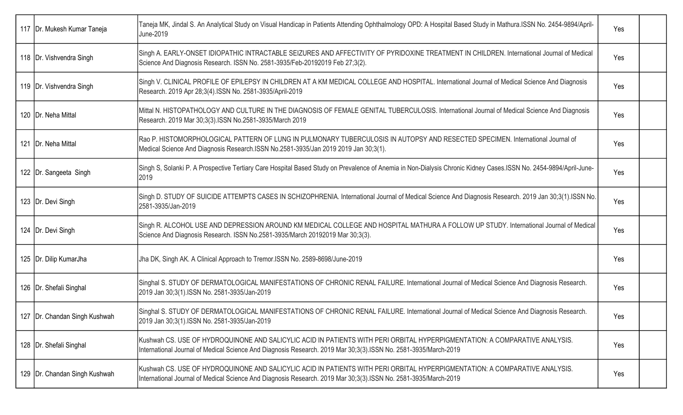| 117   Dr. Mukesh Kumar Taneja   | Taneja MK, Jindal S. An Analytical Study on Visual Handicap in Patients Attending Ophthalmology OPD: A Hospital Based Study in Mathura.ISSN No. 2454-9894/April-<br>June-2019                                                                  | Yes |  |
|---------------------------------|------------------------------------------------------------------------------------------------------------------------------------------------------------------------------------------------------------------------------------------------|-----|--|
| 118   Dr. Vishvendra Singh      | Singh A. EARLY-ONSET IDIOPATHIC INTRACTABLE SEIZURES AND AFFECTIVITY OF PYRIDOXINE TREATMENT IN CHILDREN. International Journal of Medical<br>Science And Diagnosis Research. ISSN No. 2581-3935/Feb-20192019 Feb 27;3(2).                     | Yes |  |
| 119   Dr. Vishvendra Singh      | Singh V. CLINICAL PROFILE OF EPILEPSY IN CHILDREN AT A KM MEDICAL COLLEGE AND HOSPITAL. International Journal of Medical Science And Diagnosis<br>Research. 2019 Apr 28;3(4).ISSN No. 2581-3935/April-2019                                     | Yes |  |
| 120   Dr. Neha Mittal           | Mittal N. HISTOPATHOLOGY AND CULTURE IN THE DIAGNOSIS OF FEMALE GENITAL TUBERCULOSIS. International Journal of Medical Science And Diagnosis<br>Research. 2019 Mar 30;3(3).ISSN No.2581-3935/March 2019                                        | Yes |  |
| 121   Dr. Neha Mittal           | Rao P. HISTOMORPHOLOGICAL PATTERN OF LUNG IN PULMONARY TUBERCULOSIS IN AUTOPSY AND RESECTED SPECIMEN. International Journal of<br>Medical Science And Diagnosis Research.ISSN No.2581-3935/Jan 2019 2019 Jan 30;3(1).                          | Yes |  |
| 122   Dr. Sangeeta Singh        | Singh S, Solanki P. A Prospective Tertiary Care Hospital Based Study on Prevalence of Anemia in Non-Dialysis Chronic Kidney Cases.ISSN No. 2454-9894/April-June-<br>2019                                                                       | Yes |  |
| 123   Dr. Devi Singh            | Singh D. STUDY OF SUICIDE ATTEMPTS CASES IN SCHIZOPHRENIA. International Journal of Medical Science And Diagnosis Research. 2019 Jan 30;3(1).ISSN No.<br>2581-3935/Jan-2019                                                                    | Yes |  |
| 124   Dr. Devi Singh            | Singh R. ALCOHOL USE AND DEPRESSION AROUND KM MEDICAL COLLEGE AND HOSPITAL MATHURA A FOLLOW UP STUDY. International Journal of Medical<br>Science And Diagnosis Research. ISSN No.2581-3935/March 20192019 Mar 30;3(3).                        | Yes |  |
| 125   Dr. Dilip KumarJha        | Jha DK, Singh AK. A Clinical Approach to Tremor.ISSN No. 2589-8698/June-2019                                                                                                                                                                   | Yes |  |
| 126   Dr. Shefali Singhal       | Singhal S. STUDY OF DERMATOLOGICAL MANIFESTATIONS OF CHRONIC RENAL FAILURE. International Journal of Medical Science And Diagnosis Research.<br>2019 Jan 30;3(1).ISSN No. 2581-3935/Jan-2019                                                   | Yes |  |
| 127   Dr. Chandan Singh Kushwah | Singhal S. STUDY OF DERMATOLOGICAL MANIFESTATIONS OF CHRONIC RENAL FAILURE. International Journal of Medical Science And Diagnosis Research.<br>2019 Jan 30;3(1).ISSN No. 2581-3935/Jan-2019                                                   | Yes |  |
| 128   Dr. Shefali Singhal       | Kushwah CS. USE OF HYDROQUINONE AND SALICYLIC ACID IN PATIENTS WITH PERI ORBITAL HYPERPIGMENTATION: A COMPARATIVE ANALYSIS.<br>International Journal of Medical Science And Diagnosis Research. 2019 Mar 30;3(3).ISSN No. 2581-3935/March-2019 | Yes |  |
| 129   Dr. Chandan Singh Kushwah | Kushwah CS. USE OF HYDROQUINONE AND SALICYLIC ACID IN PATIENTS WITH PERI ORBITAL HYPERPIGMENTATION: A COMPARATIVE ANALYSIS.<br>International Journal of Medical Science And Diagnosis Research. 2019 Mar 30;3(3).ISSN No. 2581-3935/March-2019 | Yes |  |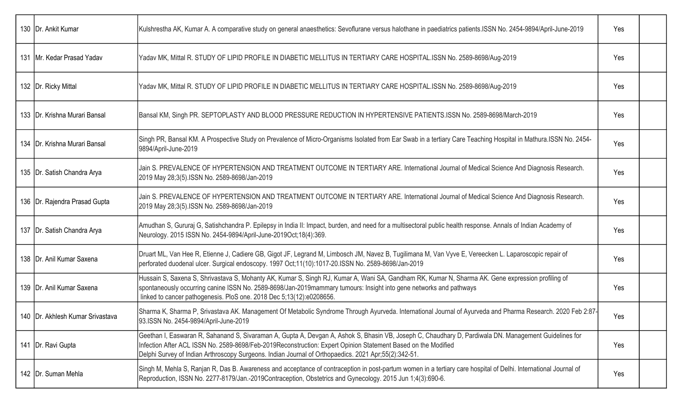| 130   Dr. Ankit Kumar              | Kulshrestha AK, Kumar A. A comparative study on general anaesthetics: Sevoflurane versus halothane in paediatrics patients.ISSN No. 2454-9894/April-June-2019                                                                                                                                                                                                                  | Yes |  |
|------------------------------------|--------------------------------------------------------------------------------------------------------------------------------------------------------------------------------------------------------------------------------------------------------------------------------------------------------------------------------------------------------------------------------|-----|--|
| 131   Mr. Kedar Prasad Yadav       | Yadav MK, Mittal R. STUDY OF LIPID PROFILE IN DIABETIC MELLITUS IN TERTIARY CARE HOSPITAL.ISSN No. 2589-8698/Aug-2019                                                                                                                                                                                                                                                          | Yes |  |
| 132   Dr. Ricky Mittal             | Yadav MK, Mittal R. STUDY OF LIPID PROFILE IN DIABETIC MELLITUS IN TERTIARY CARE HOSPITAL.ISSN No. 2589-8698/Aug-2019                                                                                                                                                                                                                                                          | Yes |  |
| 133   Dr. Krishna Murari Bansal    | Bansal KM, Singh PR. SEPTOPLASTY AND BLOOD PRESSURE REDUCTION IN HYPERTENSIVE PATIENTS.ISSN No. 2589-8698/March-2019                                                                                                                                                                                                                                                           | Yes |  |
| 134   Dr. Krishna Murari Bansal    | Singh PR, Bansal KM. A Prospective Study on Prevalence of Micro-Organisms Isolated from Ear Swab in a tertiary Care Teaching Hospital in Mathura.ISSN No. 2454-<br>9894/April-June-2019                                                                                                                                                                                        | Yes |  |
| 135   Dr. Satish Chandra Arya      | Jain S. PREVALENCE OF HYPERTENSION AND TREATMENT OUTCOME IN TERTIARY ARE. International Journal of Medical Science And Diagnosis Research.<br>2019 May 28;3(5).ISSN No. 2589-8698/Jan-2019                                                                                                                                                                                     | Yes |  |
| 136   Dr. Rajendra Prasad Gupta    | Jain S. PREVALENCE OF HYPERTENSION AND TREATMENT OUTCOME IN TERTIARY ARE. International Journal of Medical Science And Diagnosis Research.<br>2019 May 28;3(5).ISSN No. 2589-8698/Jan-2019                                                                                                                                                                                     | Yes |  |
| 137   Dr. Satish Chandra Arya      | Amudhan S, Gururaj G, Satishchandra P. Epilepsy in India II: Impact, burden, and need for a multisectoral public health response. Annals of Indian Academy of<br>Neurology. 2015 ISSN No. 2454-9894/April-June-2019Oct;18(4):369.                                                                                                                                              | Yes |  |
| 138   Dr. Anil Kumar Saxena        | Druart ML, Van Hee R, Etienne J, Cadiere GB, Gigot JF, Legrand M, Limbosch JM, Navez B, Tugilimana M, Van Vyve E, Vereecken L. Laparoscopic repair of<br>perforated duodenal ulcer. Surgical endoscopy. 1997 Oct;11(10):1017-20.ISSN No. 2589-8698/Jan-2019                                                                                                                    | Yes |  |
| 139   Dr. Anil Kumar Saxena        | Hussain S, Saxena S, Shrivastava S, Mohanty AK, Kumar S, Singh RJ, Kumar A, Wani SA, Gandham RK, Kumar N, Sharma AK. Gene expression profiling of<br>spontaneously occurring canine ISSN No. 2589-8698/Jan-2019mammary tumours: Insight into gene networks and pathways<br>linked to cancer pathogenesis. PloS one. 2018 Dec 5;13(12):e0208656.                                | Yes |  |
| 140   Dr. Akhlesh Kumar Srivastava | Sharma K, Sharma P, Srivastava AK. Management Of Metabolic Syndrome Through Ayurveda. International Journal of Ayurveda and Pharma Research. 2020 Feb 2:87-<br>93.ISSN No. 2454-9894/April-June-2019                                                                                                                                                                           | Yes |  |
| 141   Dr. Ravi Gupta               | Geethan I, Easwaran R, Sahanand S, Sivaraman A, Gupta A, Devgan A, Ashok S, Bhasin VB, Joseph C, Chaudhary D, Pardiwala DN. Management Guidelines for<br>Infection After ACL ISSN No. 2589-8698/Feb-2019Reconstruction: Expert Opinion Statement Based on the Modified<br>Delphi Survey of Indian Arthroscopy Surgeons. Indian Journal of Orthopaedics. 2021 Apr;55(2):342-51. | Yes |  |
| 142   Dr. Suman Mehla              | Singh M, Mehla S, Ranjan R, Das B. Awareness and acceptance of contraception in post-partum women in a tertiary care hospital of Delhi. International Journal of<br>Reproduction, ISSN No. 2277-8179/Jan.-2019Contraception, Obstetrics and Gynecology. 2015 Jun 1;4(3):690-6.                                                                                                 | Yes |  |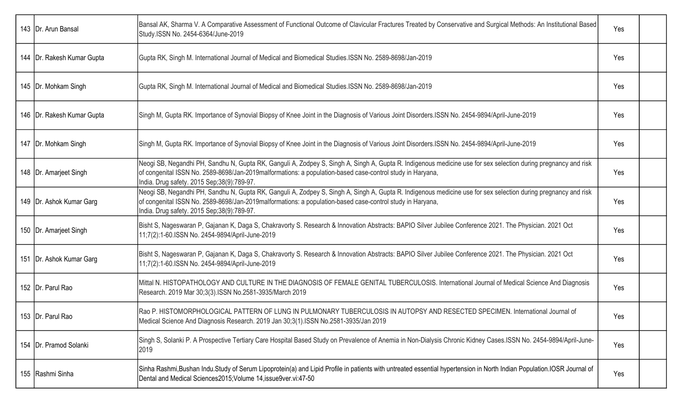| 143   Dr. Arun Bansal        | Bansal AK, Sharma V. A Comparative Assessment of Functional Outcome of Clavicular Fractures Treated by Conservative and Surgical Methods: An Institutional Based<br>Study.ISSN No. 2454-6364/June-2019                                                                                                                    | Yes |  |
|------------------------------|---------------------------------------------------------------------------------------------------------------------------------------------------------------------------------------------------------------------------------------------------------------------------------------------------------------------------|-----|--|
| 144   Dr. Rakesh Kumar Gupta | Gupta RK, Singh M. International Journal of Medical and Biomedical Studies.ISSN No. 2589-8698/Jan-2019                                                                                                                                                                                                                    | Yes |  |
| 145   Dr. Mohkam Singh       | Gupta RK, Singh M. International Journal of Medical and Biomedical Studies. ISSN No. 2589-8698/Jan-2019                                                                                                                                                                                                                   | Yes |  |
| 146   Dr. Rakesh Kumar Gupta | Singh M, Gupta RK. Importance of Synovial Biopsy of Knee Joint in the Diagnosis of Various Joint Disorders.ISSN No. 2454-9894/April-June-2019                                                                                                                                                                             | Yes |  |
| 147   Dr. Mohkam Singh       | Singh M, Gupta RK. Importance of Synovial Biopsy of Knee Joint in the Diagnosis of Various Joint Disorders.ISSN No. 2454-9894/April-June-2019                                                                                                                                                                             | Yes |  |
| 148   Dr. Amarjeet Singh     | Neogi SB, Negandhi PH, Sandhu N, Gupta RK, Ganguli A, Zodpey S, Singh A, Singh A, Gupta R. Indigenous medicine use for sex selection during pregnancy and risk<br>of congenital ISSN No. 2589-8698/Jan-2019malformations: a population-based case-control study in Haryana,<br>India. Drug safety. 2015 Sep;38(9):789-97. | Yes |  |
| 149   Dr. Ashok Kumar Garg   | Neogi SB, Negandhi PH, Sandhu N, Gupta RK, Ganguli A, Zodpey S, Singh A, Singh A, Gupta R. Indigenous medicine use for sex selection during pregnancy and risk<br>of congenital ISSN No. 2589-8698/Jan-2019malformations: a population-based case-control study in Haryana,<br>India. Drug safety. 2015 Sep;38(9):789-97. | Yes |  |
| 150   Dr. Amarjeet Singh     | Bisht S, Nageswaran P, Gajanan K, Daga S, Chakravorty S. Research & Innovation Abstracts: BAPIO Silver Jubilee Conference 2021. The Physician. 2021 Oct<br>11;7(2):1-60.ISSN No. 2454-9894/April-June-2019                                                                                                                | Yes |  |
| 151   Dr. Ashok Kumar Garg   | Bisht S, Nageswaran P, Gajanan K, Daga S, Chakravorty S. Research & Innovation Abstracts: BAPIO Silver Jubilee Conference 2021. The Physician. 2021 Oct<br>11;7(2):1-60.ISSN No. 2454-9894/April-June-2019                                                                                                                | Yes |  |
| 152   Dr. Parul Rao          | Mittal N. HISTOPATHOLOGY AND CULTURE IN THE DIAGNOSIS OF FEMALE GENITAL TUBERCULOSIS. International Journal of Medical Science And Diagnosis<br>Research. 2019 Mar 30;3(3). ISSN No.2581-3935/March 2019                                                                                                                  | Yes |  |
| 153   Dr. Parul Rao          | Rao P. HISTOMORPHOLOGICAL PATTERN OF LUNG IN PULMONARY TUBERCULOSIS IN AUTOPSY AND RESECTED SPECIMEN. International Journal of<br>Medical Science And Diagnosis Research. 2019 Jan 30;3(1).ISSN No.2581-3935/Jan 2019                                                                                                     | Yes |  |
| 154   Dr. Pramod Solanki     | Singh S, Solanki P. A Prospective Tertiary Care Hospital Based Study on Prevalence of Anemia in Non-Dialysis Chronic Kidney Cases.ISSN No. 2454-9894/April-June-<br>2019                                                                                                                                                  | Yes |  |
| 155 Rashmi Sinha             | Sinha Rashmi,Bushan Indu.Study of Serum Lipoprotein(a) and Lipid Profile in patients with untreated essential hypertension in North Indian Population.IOSR Journal of<br>Dental and Medical Sciences2015; Volume 14, issue9ver.vi:47-50                                                                                   | Yes |  |